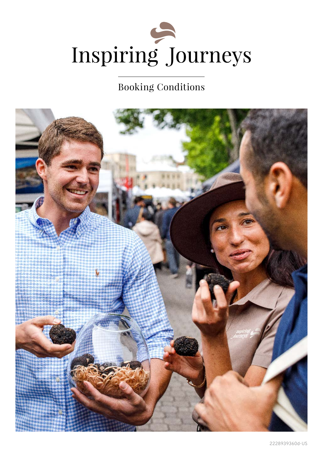

# Booking Conditions

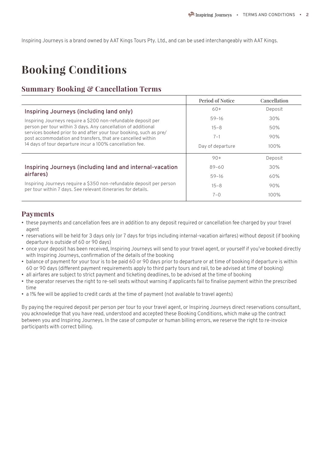Inspiring Journeys is a brand owned by AAT Kings Tours Pty. Ltd., and can be used interchangeably with AAT Kings.

# **Booking Conditions**

#### **Summary Booking & Cancellation Terms**

|                                                                                                                                       | Period of Notice | Cancellation |
|---------------------------------------------------------------------------------------------------------------------------------------|------------------|--------------|
| Inspiring Journeys (including land only)                                                                                              | $60+$            | Deposit      |
| Inspiring Journeys require a \$200 non-refundable deposit per                                                                         | $59-16$          | 30%          |
| person per tour within 3 days. Any cancellation of additional                                                                         | $15 - 8$         | 50%          |
| services booked prior to and after your tour booking, such as pre/<br>post accommodation and transfers, that are cancelled within     | $7 - 1$          | 90%          |
| 14 days of tour departure incur a 100% cancellation fee.                                                                              | Day of departure | 100%         |
|                                                                                                                                       | $90+$            | Deposit      |
| Inspiring Journeys (including land and internal-vacation                                                                              | $89 - 60$        | 30%          |
| airfares)                                                                                                                             | $59 - 16$        | 60%          |
| Inspiring Journeys require a \$350 non-refundable deposit per person<br>per tour within 7 days. See relevant itineraries for details. | $15 - 8$         | 90%          |
|                                                                                                                                       | $7 - 0$          | 100%         |

#### **Payments**

- these payments and cancellation fees are in addition to any deposit required or cancellation fee charged by your travel agent
- reservations will be held for 3 days only (or 7 days for trips including internal-vacation airfares) without deposit (if booking departure is outside of 60 or 90 days)
- once your deposit has been received, Inspiring Journeys will send to your travel agent, or yourself if you've booked directly with Inspiring Journeys, confirmation of the details of the booking
- balance of payment for your tour is to be paid 60 or 90 days prior to departure or at time of booking if departure is within 60 or 90 days (different payment requirements apply to third party tours and rail, to be advised at time of booking)
- all airfares are subject to strict payment and ticketing deadlines, to be advised at the time of booking
- the operator reserves the right to re-sell seats without warning if applicants fail to finalise payment within the prescribed time
- a 1% fee will be applied to credit cards at the time of payment (not available to travel agents)

By paying the required deposit per person per tour to your travel agent, or Inspiring Journeys direct reservations consultant, you acknowledge that you have read, understood and accepted these Booking Conditions, which make up the contract between you and Inspiring Journeys. In the case of computer or human billing errors, we reserve the right to re-invoice participants with correct billing.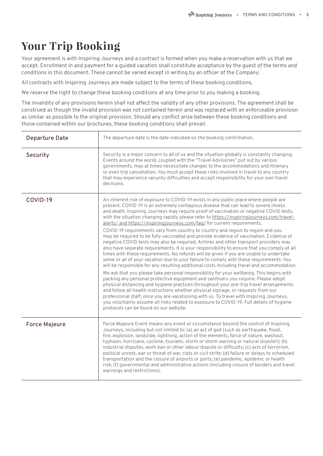# **Your Trip Booking**

Your agreement is with Inspiring Journeys and a contract is formed when you make a reservation with us that we accept. Enrollment in and payment for a guided vacation shall constitute acceptance by the guest of the terms and conditions in this document. These cannot be varied except in writing by an officer of the Company.

All contracts with Inspiring Journeys are made subject to the terms of these booking conditions.

We reserve the right to change these booking conditions at any time prior to you making a booking.

The invalidity of any provisions herein shall not affect the validity of any other provisions. The agreement shall be construed as though the invalid provision was not contained herein and was replaced with an enforceable provision as similar as possible to the original provision. Should any conflict arise between these booking conditions and those contained within our brochures, these booking conditions shall prevail.

| <b>Departure Date</b> | The departure date is the date indicated on the booking confirmation.                                                                                                                                                                                                                                                                                                                                                                                                                                                                                                                                                                                                                                                                                                                                                                                                                                                                                                                                                                                                                                                                                                                                                                                                                                                                                                                                                                                                                                                                                                                                                                                                                                         |
|-----------------------|---------------------------------------------------------------------------------------------------------------------------------------------------------------------------------------------------------------------------------------------------------------------------------------------------------------------------------------------------------------------------------------------------------------------------------------------------------------------------------------------------------------------------------------------------------------------------------------------------------------------------------------------------------------------------------------------------------------------------------------------------------------------------------------------------------------------------------------------------------------------------------------------------------------------------------------------------------------------------------------------------------------------------------------------------------------------------------------------------------------------------------------------------------------------------------------------------------------------------------------------------------------------------------------------------------------------------------------------------------------------------------------------------------------------------------------------------------------------------------------------------------------------------------------------------------------------------------------------------------------------------------------------------------------------------------------------------------------|
| Security              | Security is a major concern to all of us and the situation globally is constantly changing.<br>Events around the world, coupled with the "Travel Advisories" put out by various<br>governments, may at times necessitate changes to the accommodations and itinerary<br>or even trip cancellation. You must accept these risks involved in travel to any country<br>that may experience security difficulties and accept responsibility for your own travel<br>decisions.                                                                                                                                                                                                                                                                                                                                                                                                                                                                                                                                                                                                                                                                                                                                                                                                                                                                                                                                                                                                                                                                                                                                                                                                                                     |
| COVID-19              | An inherent risk of exposure to COVID-19 exists in any public place where people are<br>present. COVID-19 is an extremely contagious disease that can lead to severe illness<br>and death. Inspiring Journeys may require proof of vaccination or negative COVID tests,<br>with the situation changing rapidly please refer to https://inspiringjourneys.com/travel-<br>alerts/ and https://inspiringjourneys.com/fag/ for current requirements.<br>COVID-19 requirements vary from country to country and region to region and you<br>may be required to be fully vaccinated and provide evidence of vaccination. Evidence of<br>negative COVID tests may also be required. Airlines and other transport providers may<br>also have separate requirements. It is your responsibility to ensure that you comply at all<br>times with these requirements. No refunds will be given if you are unable to undertake<br>some or all of your vacation due to your failure to comply with these requirements. You<br>will be responsible for any resulting additional costs including travel and accommodation.<br>We ask that you please take personal responsibility for your wellbeing. This begins with<br>packing any personal protective equipment and sanitisers you require. Please adopt<br>physical distancing and hygiene practices throughout your pre-trip travel arrangements<br>and follow all health instructions whether physical signage, or requests from our<br>professional staff, once you are vacationing with us. To travel with Inspiring Journeys,<br>you voluntarily assume all risks related to exposure to COVID-19. Full details of hygiene<br>protocols can be found on our website. |
| <b>Force Majeure</b>  | Force Majeure Event means any event or circumstance beyond the control of Inspiring<br>Journeys, including but not limited to: (a) an act of god (such as earthquake, flood,<br>fire, explosion, landslide, lightning, action of the elements, force of nature, washout,<br>typhoon, hurricane, cyclone, tsunami, storm or storm warning or natural disaster); (b)<br>industrial disputes, work ban or other labour dispute or difficulty; (c) acts of terrorism,<br>political unrest, war or threat of war, riots or civil strife; (d) failure or delays to scheduled<br>transportation and the closure of airports or ports; (e) pandemic, epidemic or health<br>risk; (f) governmental and administrative actions (including closure of borders and travel<br>warnings and restrictions).                                                                                                                                                                                                                                                                                                                                                                                                                                                                                                                                                                                                                                                                                                                                                                                                                                                                                                                  |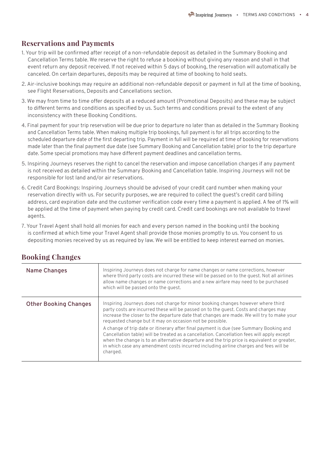### **Reservations and Payments**

- 1. Your trip will be confirmed after receipt of a non-refundable deposit as detailed in the Summary Booking and Cancellation Terms table. We reserve the right to refuse a booking without giving any reason and shall in that event return any deposit received. If not received within 5 days of booking, the reservation will automatically be canceled. On certain departures, deposits may be required at time of booking to hold seats.
- 2. Air-inclusive bookings may require an additional non-refundable deposit or payment in full at the time of booking, see Flight Reservations, Deposits and Cancellations section.
- 3. We may from time to time offer deposits at a reduced amount (Promotional Deposits) and these may be subject to different terms and conditions as specified by us. Such terms and conditions prevail to the extent of any inconsistency with these Booking Conditions.
- 4. Final payment for your trip reservation will be due prior to departure no later than as detailed in the Summary Booking and Cancellation Terms table. When making multiple trip bookings, full payment is for all trips according to the scheduled departure date of the first departing trip. Payment in full will be required at time of booking for reservations made later than the final payment due date (see Summary Booking and Cancellation table) prior to the trip departure date. Some special promotions may have different payment deadlines and cancellation terms.
- 5. Inspiring Journeys reserves the right to cancel the reservation and impose cancellation charges if any payment is not received as detailed within the Summary Booking and Cancellation table. Inspiring Journeys will not be responsible for lost land and/or air reservations.
- 6. Credit Card Bookings: Inspiring Journeys should be advised of your credit card number when making your reservation directly with us. For security purposes, we are required to collect the guest's credit card billing address, card expiration date and the customer verification code every time a payment is applied. A fee of 1% will be applied at the time of payment when paying by credit card. Credit card bookings are not available to travel agents.
- 7. Your Travel Agent shall hold all monies for each and every person named in the booking until the booking is confirmed at which time your Travel Agent shall provide those monies promptly to us. You consent to us depositing monies received by us as required by law. We will be entitled to keep interest earned on monies.

| <b>Name Changes</b>          | Inspiring Journeys does not charge for name changes or name corrections, however<br>where third party costs are incurred these will be passed on to the quest. Not all airlines<br>allow name changes or name corrections and a new airfare may need to be purchased<br>which will be passed onto the quest.                                                                                                                                                                                                                                                                                                                                                                                                                  |
|------------------------------|-------------------------------------------------------------------------------------------------------------------------------------------------------------------------------------------------------------------------------------------------------------------------------------------------------------------------------------------------------------------------------------------------------------------------------------------------------------------------------------------------------------------------------------------------------------------------------------------------------------------------------------------------------------------------------------------------------------------------------|
| <b>Other Booking Changes</b> | Inspiring Journeys does not charge for minor booking changes however where third<br>party costs are incurred these will be passed on to the guest. Costs and charges may<br>increase the closer to the departure date that changes are made. We will try to make your<br>requested change but it may on occasion not be possible.<br>A change of trip date or itinerary after final payment is due (see Summary Booking and<br>Cancellation table) will be treated as a cancellation. Cancellation fees will apply except<br>when the change is to an alternative departure and the trip price is equivalent or greater,<br>in which case any amendment costs incurred including airline charges and fees will be<br>charged. |

## **Booking Changes**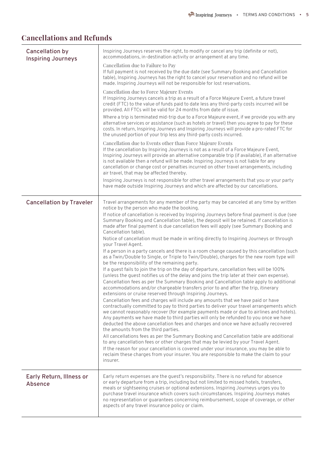# **Cancellations and Refunds**

| <b>Cancellation by</b><br><b>Inspiring Journeys</b> | Inspiring Journeys reserves the right, to modify or cancel any trip (definite or not),<br>accommodations, in-destination activity or arrangement at any time.                                                                                                                                                                                                                                                                                                                                              |
|-----------------------------------------------------|------------------------------------------------------------------------------------------------------------------------------------------------------------------------------------------------------------------------------------------------------------------------------------------------------------------------------------------------------------------------------------------------------------------------------------------------------------------------------------------------------------|
|                                                     | Cancellation due to Failure to Pay<br>If full payment is not received by the due date (see Summary Booking and Cancellation<br>table), Inspiring Journeys has the right to cancel your reservation and no refund will be<br>made. Inspiring Journeys will not be responsible for lost reservations.                                                                                                                                                                                                        |
|                                                     | Cancellation due to Force Majeure Events<br>If Inspiring Journeys cancels a trip as a result of a Force Majeure Event, a future travel<br>credit (FTC) to the value of funds paid to date less any third-party costs incurred will be<br>provided. All FTCs will be valid for 24 months from date of issue.                                                                                                                                                                                                |
|                                                     | Where a trip is terminated mid-trip due to a Force Majeure event, if we provide you with any<br>alternative services or assistance (such as hotels or travel) then you agree to pay for these<br>costs. In return, Inspiring Journeys and Inspiring Journeys will provide a pro-rated FTC for<br>the unused portion of your trip less any third-party costs incurred.                                                                                                                                      |
|                                                     | Cancellation due to Events other than Force Majeure Events<br>If the cancellation by Inspiring Journeys is not as a result of a Force Majeure Event,<br>Inspiring Journeys will provide an alternative comparable trip (if available), if an alternative<br>is not available then a refund will be made. Inspiring Journeys is not liable for any<br>cancellation or change cost or penalties incurred on other travel arrangements, including<br>air travel, that may be affected thereby.                |
|                                                     | Inspiring Journeys is not responsible for other travel arrangements that you or your party<br>have made outside Inspiring Journeys and which are affected by our cancellations.                                                                                                                                                                                                                                                                                                                            |
| <b>Cancellation by Traveler</b>                     | Travel arrangements for any member of the party may be canceled at any time by written<br>notice by the person who made the booking.                                                                                                                                                                                                                                                                                                                                                                       |
|                                                     | If notice of cancellation is received by Inspiring Journeys before final payment is due (see<br>Summary Booking and Cancellation table), the deposit will be retained. If cancellation is<br>made after final payment is due cancellation fees will apply (see Summary Booking and<br>Cancellation table).                                                                                                                                                                                                 |
|                                                     | Notice of cancellation must be made in writing directly to Inspiring Journeys or through<br>your Travel Agent.                                                                                                                                                                                                                                                                                                                                                                                             |
|                                                     | If a person in a party cancels and there is a room change caused by this cancellation (such<br>as a Twin/Double to Single, or Triple to Twin/Double), charges for the new room type will<br>be the responsibility of the remaining party.                                                                                                                                                                                                                                                                  |
|                                                     | If a quest fails to join the trip on the day of departure, cancellation fees will be 100%<br>(unless the quest notifies us of the delay and joins the trip later at their own expense).                                                                                                                                                                                                                                                                                                                    |
|                                                     | Cancellation fees as per the Summary Booking and Cancellation table apply to additional<br>accommodations and/or chargeable transfers prior to and after the trip, itinerary<br>extensions or cruise reserved through Inspiring Journeys.                                                                                                                                                                                                                                                                  |
|                                                     | Cancellation fees and charges will include any amounts that we have paid or have<br>contractually committed to pay to third parties to deliver your travel arrangements which<br>we cannot reasonably recover (for example payments made or due to airlines and hotels).<br>Any payments we have made to third parties will only be refunded to you once we have<br>deducted the above cancellation fees and charges and once we have actually recovered<br>the amounts from the third parties.            |
|                                                     | All cancellations fees as per the Summary Booking and Cancellation table are additional<br>to any cancellation fees or other charges that may be levied by your Travel Agent.<br>If the reason for your cancellation is covered under your insurance, you may be able to<br>reclaim these charges from your insurer. You are responsible to make the claim to your<br>insurer.                                                                                                                             |
| Early Return, Illness or<br><b>Absence</b>          | Early return expenses are the guest's responsibility. There is no refund for absence<br>or early departure from a trip, including but not limited to missed hotels, transfers,<br>meals or sightseeing cruises or optional extensions. Inspiring Journeys urges you to<br>purchase travel insurance which covers such circumstances. Inspiring Journeys makes<br>no representation or guarantees concerning reimbursement, scope of coverage, or other<br>aspects of any travel insurance policy or claim. |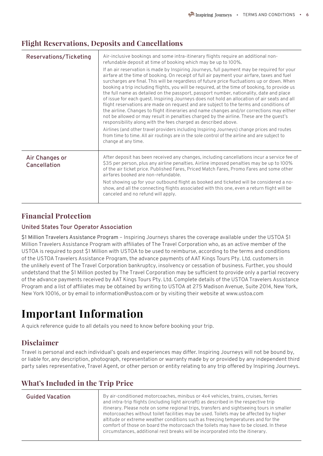#### **Flight Reservations, Deposits and Cancellations**

| Reservations/Ticketing         | Air-inclusive bookings and some intra-itinerary flights require an additional non-<br>refundable deposit at time of booking which may be up to 100%.<br>If an air reservation is made by Inspiring Journeys, full payment may be required for your<br>airfare at the time of booking. On receipt of full air payment your airfare, taxes and fuel<br>surcharges are final. This will be regardless of future price fluctuations up or down. When<br>booking a trip including flights, you will be required, at the time of booking, to provide us<br>the full name as detailed on the passport, passport number, nationality, date and place<br>of issue for each quest. Inspiring Journeys does not hold an allocation of air seats and all<br>flight reservations are made on request and are subject to the terms and conditions of<br>the airline. Changes to flight itineraries and name changes and/or corrections may either<br>not be allowed or may result in penalties charged by the airline. These are the quest's<br>responsibility along with the fees charged as described above.<br>Airlines (and other travel providers including Inspiring Journeys) change prices and routes<br>from time to time. All air routings are in the sole control of the airline and are subject to<br>change at any time. |
|--------------------------------|-------------------------------------------------------------------------------------------------------------------------------------------------------------------------------------------------------------------------------------------------------------------------------------------------------------------------------------------------------------------------------------------------------------------------------------------------------------------------------------------------------------------------------------------------------------------------------------------------------------------------------------------------------------------------------------------------------------------------------------------------------------------------------------------------------------------------------------------------------------------------------------------------------------------------------------------------------------------------------------------------------------------------------------------------------------------------------------------------------------------------------------------------------------------------------------------------------------------------------------------------------------------------------------------------------------------------|
| Air Changes or<br>Cancellation | After deposit has been received any changes, including cancellations incur a service fee of<br>\$35 per person, plus any airline penalties. Airline imposed penalties may be up to 100%<br>of the air ticket price. Published Fares, Priced Match Fares, Promo Fares and some other<br>airfares booked are non-refundable.<br>Not showing up for your outbound flight as booked and ticketed will be considered a no-<br>show, and all the connecting flights associated with this one, even a return flight will be<br>canceled and no refund will apply.                                                                                                                                                                                                                                                                                                                                                                                                                                                                                                                                                                                                                                                                                                                                                              |

### **Financial Protection**

#### **United States Tour Operator Association**

\$1 Million Travelers Assistance Program – Inspiring Journeys shares the coverage available under the USTOA \$1 Million Travelers Assistance Program with affiliates of The Travel Corporation who, as an active member of the USTOA is required to post \$1 Million with USTOA to be used to reimburse, according to the terms and conditions of the USTOA Travelers Assistance Program, the advance payments of AAT Kings Tours Pty. Ltd. customers in the unlikely event of The Travel Corporation bankruptcy, insolvency or cessation of business. Further, you should undetstand that the \$1 Million posted by The Travel Corporation may be sufficient to provide only a partial recovery of the advance payments received by AAT Kings Tours Pty. Ltd. Complete details of the USTOA Travelers Assistance Program and a list of affiliates may be obtained by writing to USTOA at 275 Madison Avenue, Suite 2014, New York, New York 10016, or by email to information@ustoa.com or by visiting their website at www.ustoa.com

# **Important Information**

A quick reference guide to all details you need to know before booking your trip.

## **Disclaimer**

Travel is personal and each individual's goals and experiences may differ. Inspiring Journeys will not be bound by, or liable for, any description, photograph, representation or warranty made by or provided by any independent third party sales representative, Travel Agent, or other person or entity relating to any trip offered by Inspiring Journeys.

| <b>Guided Vacation</b> | By air-conditioned motorcoaches, minibus or 4x4 vehicles, trains, cruises, ferries<br>and intra-trip flights (including light aircraft) as described in the respective trip<br>itinerary. Please note on some regional trips, transfers and sightseeing tours in smaller<br>motorcoaches without toilet facilities may be used. Toilets may be affected by higher<br>altitude or extreme weather conditions such as freezing temperatures and for the<br>comfort of those on board the motorcoach the toilets may have to be closed. In these<br>circumstances, additional rest breaks will be incorporated into the itinerary. |
|------------------------|---------------------------------------------------------------------------------------------------------------------------------------------------------------------------------------------------------------------------------------------------------------------------------------------------------------------------------------------------------------------------------------------------------------------------------------------------------------------------------------------------------------------------------------------------------------------------------------------------------------------------------|

## **What's Included in the Trip Price**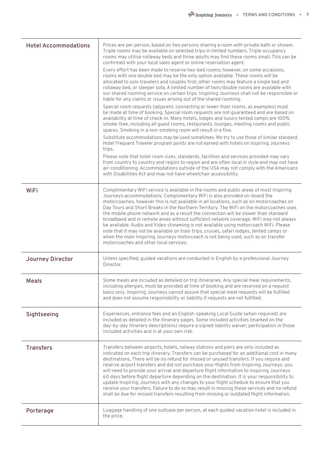| <b>Hotel Accommodations</b> | Prices are per person, based on two persons sharing a room with private bath or shower.<br>Triple rooms may be available on selected trips in limited numbers. Triple occupancy<br>rooms may utilise rollaway beds and three adults may find these rooms small. This can be<br>confirmed with your local sales agent or online reservation agent.                                                                                                                                                                                                                                                                                                                                                                                                                                                                                                                    |
|-----------------------------|----------------------------------------------------------------------------------------------------------------------------------------------------------------------------------------------------------------------------------------------------------------------------------------------------------------------------------------------------------------------------------------------------------------------------------------------------------------------------------------------------------------------------------------------------------------------------------------------------------------------------------------------------------------------------------------------------------------------------------------------------------------------------------------------------------------------------------------------------------------------|
|                             | Every effort has been made to reserve two-bed rooms; however, on some occasions,<br>rooms with one double bed may be the only option available. These rooms will be<br>allocated to solo travelers and couples first; other rooms may feature a single bed and<br>rollaway bed, or sleeper sofa. A limited number of twin/double rooms are available with<br>our shared rooming service on certain trips. Inspiring Journeys shall not be responsible or<br>liable for any claims or issues arising out of the shared rooming.                                                                                                                                                                                                                                                                                                                                       |
|                             | Special room requests (adjacent, connecting or lower-floor rooms, as examples) must<br>be made at time of booking. Special room requests are not guaranteed and are based on<br>availability at time of check-in. Many hotels, lodges and luxury tented camps are 100%<br>smoke-free, including all guest rooms, restaurants, lounges, meeting rooms and public<br>spaces. Smoking in a non-smoking room will result in a fine.                                                                                                                                                                                                                                                                                                                                                                                                                                      |
|                             | Substitute accommodations may be used sometimes. We try to use those of similar standard.<br>Hotel Frequent Traveler program points are not earned with hotels on Inspiring Journeys<br>trips.                                                                                                                                                                                                                                                                                                                                                                                                                                                                                                                                                                                                                                                                       |
|                             | Please note that hotel room sizes, standards, facilities and services provided may vary<br>from country to country and region to region and are often local in style and may not have<br>air-conditioning. Accommodations outside of the USA may not comply with the Americans<br>with Disabilities Act and may not have wheelchair accessibility.                                                                                                                                                                                                                                                                                                                                                                                                                                                                                                                   |
| <b>WiFi</b>                 | Complimentary WiFi service is available in the rooms and public areas of most Inspiring<br>Journeys accommodations. Complimentary WiFi is also provided on-board the<br>motorcoaches, however this is not available in all locations, such as on motorcoaches on<br>Day Tours and Short Breaks in the Northern Territory. The WiFi on the motorcoaches uses<br>the mobile phone network and as a result the connection will be slower than standard<br>broadband and in remote areas without sufficient network coverage, WiFi may not always<br>be available. Audio and Video streaming is not available using motorcoach WiFi. Please<br>note that it may not be available on train trips, cruises, safari lodges, tented camps or<br>when the main Inspiring Journeys motorcoach is not being used, such as on transfer<br>motorcoaches and other local services. |
| Journey Director            | Unless specified, guided vacations are conducted in English by a professional Journey<br>Director.                                                                                                                                                                                                                                                                                                                                                                                                                                                                                                                                                                                                                                                                                                                                                                   |
| <b>Meals</b>                | Some meals are included as detailed on trip itineraries. Any special meal requirements,<br>including allergies, must be provided at time of booking and are received on a request<br>basis only. Inspiring Journeys cannot assure that special meal requests will be fulfilled<br>and does not assume responsibility or liability if requests are not fulfilled.                                                                                                                                                                                                                                                                                                                                                                                                                                                                                                     |
| Sightseeing                 | Experiences, entrance fees and an English-speaking Local Guide (when required) are<br>included as detailed in the itinerary pages. Some included activities (marked on the<br>day-by-day itinerary descriptions) require a signed liability waiver; participation in those<br>included activities and is at your own risk.                                                                                                                                                                                                                                                                                                                                                                                                                                                                                                                                           |
| <b>Transfers</b>            | Transfers between airports, hotels, railway stations and piers are only included as<br>indicated on each trip itinerary. Transfers can be purchased for an additional cost in many<br>destinations. There will be no refund for missed or unused transfers. If you require and<br>reserve airport transfers and did not purchase your flights from Inspiring Journeys, you<br>will need to provide your arrival and departure flight information to Inspiring Journeys<br>60 days before flight departure depending on the destination. It is your responsibility to<br>update Inspiring Journeys with any changes to your flight schedule to ensure that you<br>receive your transfers. Failure to do so may result in missing these services and no refund<br>shall be due for missed transfers resulting from missing or outdated flight information.             |
| Porterage                   | Luggage handling of one suitcase per person, at each guided vacation hotel is included in<br>the price.                                                                                                                                                                                                                                                                                                                                                                                                                                                                                                                                                                                                                                                                                                                                                              |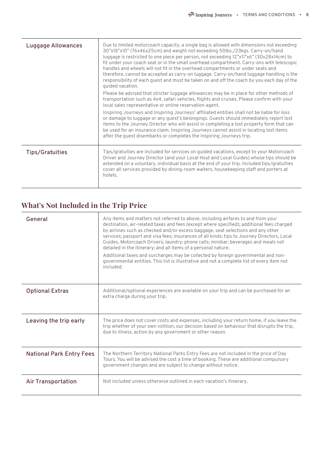| <b>Luggage Allowances</b> | Due to limited motorcoach capacity, a single bag is allowed with dimensions not exceeding<br>30"x18"x10" (76x46x25cm) and weight not exceeding 50lbs./23kgs. Carry-on/hand<br>luggage is restricted to one piece per person, not exceeding 12"x11"x6" (30x28x14cm) to<br>fit under your coach seat or in the small overhead compartment. Carry-ons with telescopic<br>handles and wheels will not fit in the overhead compartments or under seats and<br>therefore, cannot be accepted as carry-on luggage. Carry-on/hand luggage handling is the<br>responsibility of each quest and must be taken on and off the coach by you each day of the<br>quided vacation. |
|---------------------------|---------------------------------------------------------------------------------------------------------------------------------------------------------------------------------------------------------------------------------------------------------------------------------------------------------------------------------------------------------------------------------------------------------------------------------------------------------------------------------------------------------------------------------------------------------------------------------------------------------------------------------------------------------------------|
|                           | Please be advised that stricter luggage allowances may be in place for other methods of<br>transportation such as 4x4, safari vehicles, flights and cruises. Please confirm with your<br>local sales representative or online reservation agent.                                                                                                                                                                                                                                                                                                                                                                                                                    |
|                           | Inspiring Journeys and Inspiring Journeys' affiliated entities shall not be liable for loss<br>or damage to luggage or any quest's belongings. Guests should immediately report lost<br>items to the Journey Director who will assist in completing a lost property form that can<br>be used for an insurance claim. Inspiring Journeys cannot assist in locating lost items<br>after the quest disembarks or completes the Inspiring Journeys trip.                                                                                                                                                                                                                |
| <b>Tips/Gratuities</b>    | Tips/gratuities are included for services on guided vacations, except to your Motorcoach<br>Driver and Journey Director (and your Local Host and Local Guides) whose tips should be<br>extended on a voluntary, individual basis at the end of your trip. Included tips/gratuities<br>cover all services provided by dining-room waiters, housekeeping staff and porters at<br>hotels.                                                                                                                                                                                                                                                                              |

## **What's Not Included in the Trip Price**

| General                         | Any items and matters not referred to above, including airfares to and from your<br>destination, air-related taxes and fees (except where specified); additional fees charged<br>by airlines such as checked and/or excess baggage, seat selections and any other<br>services; passport and visa fees; insurances of all kinds; tips to Journey Directors, Local<br>Guides, Motorcoach Drivers; laundry; phone calls; minibar; beverages and meals not<br>detailed in the itinerary; and all items of a personal nature.<br>Additional taxes and surcharges may be collected by foreign governmental and non-<br>governmental entities. This list is illustrative and not a complete list of every item not<br>included. |
|---------------------------------|--------------------------------------------------------------------------------------------------------------------------------------------------------------------------------------------------------------------------------------------------------------------------------------------------------------------------------------------------------------------------------------------------------------------------------------------------------------------------------------------------------------------------------------------------------------------------------------------------------------------------------------------------------------------------------------------------------------------------|
| <b>Optional Extras</b>          | Additional/optional experiences are available on your trip and can be purchased for an<br>extra charge during your trip.                                                                                                                                                                                                                                                                                                                                                                                                                                                                                                                                                                                                 |
| Leaving the trip early          | The price does not cover costs and expenses, including your return home, if you leave the<br>trip whether of your own volition, our decision based on behaviour that disrupts the trip,<br>due to illness, action by any government or other reason.                                                                                                                                                                                                                                                                                                                                                                                                                                                                     |
| <b>National Park Entry Fees</b> | The Northern Territory National Parks Entry Fees are not included in the price of Day<br>Tours. You will be advised the cost a time of booking. These are additional compulsory<br>government charges and are subject to change without notice.                                                                                                                                                                                                                                                                                                                                                                                                                                                                          |
| <b>Air Transportation</b>       | Not included unless otherwise outlined in each vacation's itinerary.                                                                                                                                                                                                                                                                                                                                                                                                                                                                                                                                                                                                                                                     |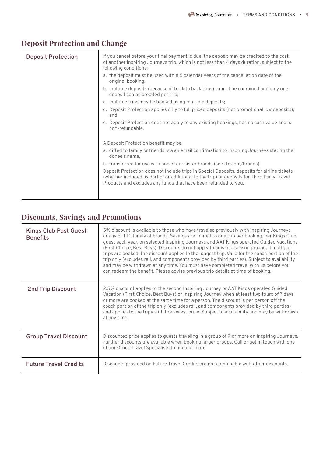| <b>Deposit Protection</b> | If you cancel before your final payment is due, the deposit may be credited to the cost<br>of another Inspiring Journeys trip, which is not less than 4 days duration, subject to the<br>following conditions:                                               |
|---------------------------|--------------------------------------------------------------------------------------------------------------------------------------------------------------------------------------------------------------------------------------------------------------|
|                           | a. the deposit must be used within 5 calendar years of the cancellation date of the<br>original booking;                                                                                                                                                     |
|                           | b. multiple deposits (because of back to back trips) cannot be combined and only one<br>deposit can be credited per trip;                                                                                                                                    |
|                           | c. multiple trips may be booked using multiple deposits;                                                                                                                                                                                                     |
|                           | d. Deposit Protection applies only to full priced deposits (not promotional low deposits);<br>and                                                                                                                                                            |
|                           | e. Deposit Protection does not apply to any existing bookings, has no cash value and is<br>non-refundable.                                                                                                                                                   |
|                           | A Deposit Protection benefit may be:                                                                                                                                                                                                                         |
|                           | a. gifted to family or friends, via an email confirmation to Inspiring Journeys stating the<br>donee's name,                                                                                                                                                 |
|                           | b. transferred for use with one of our sister brands (see ttc.com/brands)                                                                                                                                                                                    |
|                           | Deposit Protection does not include trips in Special Deposits, deposits for airline tickets<br>(whether included as part of or additional to the trip) or deposits for Third Party Travel<br>Products and excludes any funds that have been refunded to you. |
|                           |                                                                                                                                                                                                                                                              |

## **Deposit Protection and Change**

# **Discounts, Savings and Promotions**

| <b>Kings Club Past Guest</b><br><b>Benefits</b> | 5% discount is available to those who have traveled previously with Inspiring Journeys<br>or any of TTC family of brands. Savings are limited to one trip per booking, per Kings Club<br>quest each year, on selected Inspiring Journeys and AAT Kings operated Guided Vacations<br>(First Choice, Best Buys). Discounts do not apply to advance season pricing. If multiple<br>trips are booked, the discount applies to the longest trip. Valid for the coach portion of the<br>trip only (excludes rail, and components provided by third parties). Subject to availability<br>and may be withdrawn at any time. You must have completed travel with us before you<br>can redeem the benefit. Please advise previous trip details at time of booking. |
|-------------------------------------------------|----------------------------------------------------------------------------------------------------------------------------------------------------------------------------------------------------------------------------------------------------------------------------------------------------------------------------------------------------------------------------------------------------------------------------------------------------------------------------------------------------------------------------------------------------------------------------------------------------------------------------------------------------------------------------------------------------------------------------------------------------------|
| <b>2nd Trip Discount</b>                        | 2.5% discount applies to the second Inspiring Journey or AAT Kings operated Guided<br>Vacation (First Choice, Best Buys) or Inspiring Journey when at least two tours of 7 days<br>or more are booked at the same time for a person. The discount is per person off the<br>coach portion of the trip only (excludes rail, and components provided by third parties)<br>and applies to the tripy with the lowest price. Subject to availability and may be withdrawn<br>at any time.                                                                                                                                                                                                                                                                      |
| <b>Group Travel Discount</b>                    | Discounted price applies to guests traveling in a group of 9 or more on Inspiring Journeys.<br>Further discounts are available when booking larger groups. Call or get in touch with one<br>of our Group Travel Specialists to find out more.                                                                                                                                                                                                                                                                                                                                                                                                                                                                                                            |
| <b>Future Travel Credits</b>                    | Discounts provided on Future Travel Credits are not combinable with other discounts.                                                                                                                                                                                                                                                                                                                                                                                                                                                                                                                                                                                                                                                                     |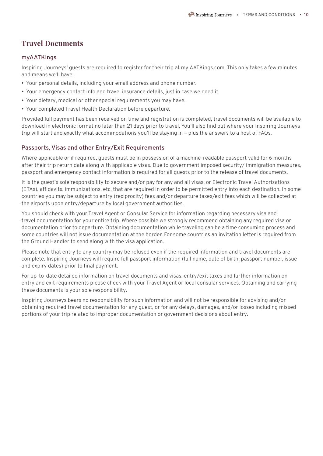#### **Travel Documents**

#### **myAATKings**

Inspiring Journeys' guests are required to register for their trip at my.AATKings.com. This only takes a few minutes and means we'll have:

- Your personal details, including your email address and phone number.
- Your emergency contact info and travel insurance details, just in case we need it.
- Your dietary, medical or other special requirements you may have.
- Your completed Travel Health Declaration before departure.

Provided full payment has been received on time and registration is completed, travel documents will be available to download in electronic format no later than 21 days prior to travel. You'll also find out where your Inspiring Journeys trip will start and exactly what accommodations you'll be staying in – plus the answers to a host of FAQs.

#### **Passports, Visas and other Entry/Exit Requirements**

Where applicable or if required, guests must be in possession of a machine-readable passport valid for 6 months after their trip return date along with applicable visas. Due to government imposed security/ immigration measures, passport and emergency contact information is required for all guests prior to the release of travel documents.

It is the guest's sole responsibility to secure and/or pay for any and all visas, or Electronic Travel Authorizations (ETAs), affidavits, immunizations, etc. that are required in order to be permitted entry into each destination. In some countries you may be subject to entry (reciprocity) fees and/or departure taxes/exit fees which will be collected at the airports upon entry/departure by local government authorities.

You should check with your Travel Agent or Consular Service for information regarding necessary visa and travel documentation for your entire trip. Where possible we strongly recommend obtaining any required visa or documentation prior to departure. Obtaining documentation while traveling can be a time consuming process and some countries will not issue documentation at the border. For some countries an invitation letter is required from the Ground Handler to send along with the visa application.

Please note that entry to any country may be refused even if the required information and travel documents are complete. Inspiring Journeys will require full passport information (full name, date of birth, passport number, issue and expiry dates) prior to final payment.

For up-to-date detailed information on travel documents and visas, entry/exit taxes and further information on entry and exit requirements please check with your Travel Agent or local consular services. Obtaining and carrying these documents is your sole responsibility.

Inspiring Journeys bears no responsibility for such information and will not be responsible for advising and/or obtaining required travel documentation for any guest, or for any delays, damages, and/or losses including missed portions of your trip related to improper documentation or government decisions about entry.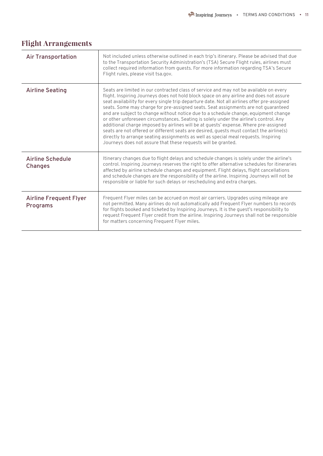| <b>Air Transportation</b>                 | Not included unless otherwise outlined in each trip's itinerary. Please be advised that due<br>to the Transportation Security Administration's (TSA) Secure Flight rules, airlines must<br>collect required information from guests. For more information regarding TSA's Secure<br>Flight rules, please visit tsa.gov.                                                                                                                                                                                                                                                                                                                                                                                                                                                                                                                                                                            |
|-------------------------------------------|----------------------------------------------------------------------------------------------------------------------------------------------------------------------------------------------------------------------------------------------------------------------------------------------------------------------------------------------------------------------------------------------------------------------------------------------------------------------------------------------------------------------------------------------------------------------------------------------------------------------------------------------------------------------------------------------------------------------------------------------------------------------------------------------------------------------------------------------------------------------------------------------------|
| <b>Airline Seating</b>                    | Seats are limited in our contracted class of service and may not be available on every<br>flight. Inspiring Journeys does not hold block space on any airline and does not assure<br>seat availability for every single trip departure date. Not all airlines offer pre-assigned<br>seats. Some may charge for pre-assigned seats. Seat assignments are not guaranteed<br>and are subject to change without notice due to a schedule change, equipment change<br>or other unforeseen circumstances. Seating is solely under the airline's control. Any<br>additional charge imposed by airlines will be at quests' expense. Where pre-assigned<br>seats are not offered or different seats are desired, quests must contact the airline(s)<br>directly to arrange seating assignments as well as special meal requests. Inspiring<br>Journeys does not assure that these requests will be granted. |
| <b>Airline Schedule</b><br><b>Changes</b> | Itinerary changes due to flight delays and schedule changes is solely under the airline's<br>control. Inspiring Journeys reserves the right to offer alternative schedules for itineraries<br>affected by airline schedule changes and equipment. Flight delays, flight cancellations<br>and schedule changes are the responsibility of the airline. Inspiring Journeys will not be<br>responsible or liable for such delays or rescheduling and extra charges.                                                                                                                                                                                                                                                                                                                                                                                                                                    |
| <b>Airline Frequent Flyer</b><br>Programs | Frequent Flyer miles can be accrued on most air carriers. Upgrades using mileage are<br>not permitted. Many airlines do not automatically add Frequent Flyer numbers to records<br>for flights booked and ticketed by Inspiring Journeys. It is the guest's responsibility to<br>request Frequent Flyer credit from the airline. Inspiring Journeys shall not be responsible<br>for matters concerning Frequent Flyer miles.                                                                                                                                                                                                                                                                                                                                                                                                                                                                       |

## **Flight Arrangements**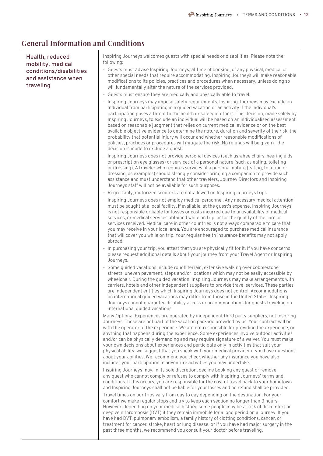#### **General Information and Conditions**

**Health, reduced mobility, medical conditions/disabilities and assistance when traveling**

Inspiring Journeys welcomes guests with special needs or disabilities. Please note the following:

- Guests must advise Inspiring Journeys, at time of booking, of any physical, medical or other special needs that require accommodating. Inspiring Journeys will make reasonable modifications to its policies, practices and procedures when necessary, unless doing so will fundamentally alter the nature of the services provided.
- Guests must ensure they are medically and physically able to travel.
- Inspiring Journeys may impose safety requirements. Inspiring Journeys may exclude an individual from participating in a guided vacation or an activity if the individual's participation poses a threat to the health or safety of others. This decision, made solely by Inspiring Journeys, to exclude an individual will be based on an individualised assessment based on reasonable judgment that relies on current medical evidence or on the best available objective evidence to determine the nature, duration and severity of the risk, the probability that potential injury will occur and whether reasonable modifications of policies, practices or procedures will mitigate the risk. No refunds will be given if the decision is made to exclude a guest.
- Inspiring Journeys does not provide personal devices (such as wheelchairs, hearing aids or prescription eye glasses) or services of a personal nature (such as eating, toileting or dressing). A traveler who requires services of a personal nature (eating, toileting or dressing, as examples) should strongly consider bringing a companion to provide such assistance and must understand that other travelers, Journey Directors and Inspiring Journeys staff will not be available for such purposes.
- Regrettably, motorized scooters are not allowed on Inspiring Journeys trips.
- Inspiring Journeys does not employ medical personnel. Any necessary medical attention must be sought at a local facility, if available, at the guest's expense. Inspiring Journeys is not responsible or liable for losses or costs incurred due to unavailability of medical services, or medical services obtained while on trip, or for the quality of the care or services received. Medical care in other countries is not always comparable to care that you may receive in your local area. You are encouraged to purchase medical insurance that will cover you while on trip. Your regular health insurance benefits may not apply abroad.
- In purchasing your trip, you attest that you are physically fit for it. If you have concerns please request additional details about your journey from your Travel Agent or Inspiring Journeys.
- Some guided vacations include rough terrain, extensive walking over cobblestone streets, uneven pavement, steps and/or locations which may not be easily accessible by wheelchair. During the guided vacation, Inspiring Journeys may make arrangements with carriers, hotels and other independent suppliers to provide travel services. These parties are independent entities which Inspiring Journeys does not control. Accommodations on international guided vacations may differ from those in the United States. Inspiring Journeys cannot guarantee disability access or accommodations for guests traveling on international guided vacations.

Many Optional Experiences are operated by independent third party suppliers, not Inspiring Journeys. These are not part of the vacation package provided by us. Your contract will be with the operator of the experience. We are not responsible for providing the experience, or anything that happens during the experience. Some experiences involve outdoor activities and/or can be physically demanding and may require signature of a waiver. You must make your own decisions about experiences and participate only in activities that suit your physical ability: we suggest that you speak with your medical provider if you have questions about your abilities. We recommend you check whether any insurance you have also includes your participation in adventure activities you may undertake.

Inspiring Journeys may, in its sole discretion, decline booking any guest or remove any guest who cannot comply or refuses to comply with Inspiring Journeys' terms and conditions. If this occurs, you are responsible for the cost of travel back to your hometown and Inspiring Journeys shall not be liable for your losses and no refund shall be provided.

Travel times on our trips vary from day to day depending on the destination. For your comfort we make regular stops and try to keep each section no longer than 3 hours. However, depending on your medical history, some people may be at risk of discomfort or deep vein thrombosis (DVT) if they remain immobile for a long period on a journey. If you have had DVT, pulmonary embolism, a family history of clotting conditions, cancer, or treatment for cancer, stroke, heart or lung disease, or if you have had major surgery in the past three months, we recommend you consult your doctor before traveling.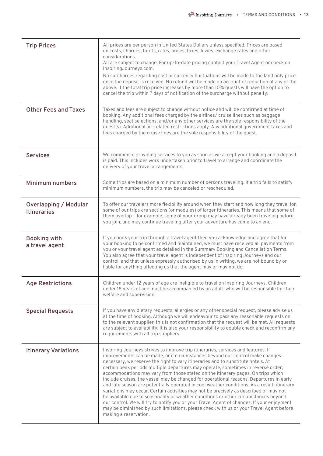| <b>Trip Prices</b>                                 | All prices are per person in United States Dollars unless specified. Prices are based<br>on costs, charges, tariffs, rates, prices, taxes, levies, exchange rates and other<br>considerations.<br>All are subject to change. For up-to-date pricing contact your Travel Agent or check on<br>InspiringJourneys.com.<br>No surcharges regarding cost or currency fluctuations will be made to the land only price<br>once the deposit is received. No refund will be made on account of reduction of any of the<br>above. If the total trip price increases by more than 10% guests will have the option to<br>cancel the trip within 7 days of notification of the surcharge without penalty.                                                                                                                                                                                                                                                                                                                              |
|----------------------------------------------------|----------------------------------------------------------------------------------------------------------------------------------------------------------------------------------------------------------------------------------------------------------------------------------------------------------------------------------------------------------------------------------------------------------------------------------------------------------------------------------------------------------------------------------------------------------------------------------------------------------------------------------------------------------------------------------------------------------------------------------------------------------------------------------------------------------------------------------------------------------------------------------------------------------------------------------------------------------------------------------------------------------------------------|
| <b>Other Fees and Taxes</b>                        | Taxes and fees are subject to change without notice and will be confirmed at time of<br>booking. Any additional fees charged by the airlines/ cruise lines such as baggage<br>handling, seat selections, and/or any other services are the sole responsibility of the<br>guest(s). Additional air-related restrictions apply. Any additional government taxes and<br>fees charged by the cruise lines are the sole responsibility of the guest.                                                                                                                                                                                                                                                                                                                                                                                                                                                                                                                                                                            |
| <b>Services</b>                                    | We commence providing services to you as soon as we accept your booking and a deposit<br>is paid. This includes work undertaken prior to travel to arrange and coordinate the<br>delivery of your travel arrangements.                                                                                                                                                                                                                                                                                                                                                                                                                                                                                                                                                                                                                                                                                                                                                                                                     |
| <b>Minimum numbers</b>                             | Some trips are based on a minimum number of persons traveling. If a trip fails to satisfy<br>minimum numbers, the trip may be canceled or rescheduled.                                                                                                                                                                                                                                                                                                                                                                                                                                                                                                                                                                                                                                                                                                                                                                                                                                                                     |
| <b>Overlapping / Modular</b><br><b>Itineraries</b> | To offer our travelers more flexibility around when they start and how long they travel for,<br>some of our trips are sections (or modules) of larger itineraries. This means that some of<br>them overlap - for example, some of your group may have already been traveling before<br>you join, and may continue traveling after your adventure has come to an end.                                                                                                                                                                                                                                                                                                                                                                                                                                                                                                                                                                                                                                                       |
| <b>Booking with</b><br>a travel agent              | If you book your trip through a travel agent then you acknowledge and agree that for<br>your booking to be confirmed and maintained, we must have received all payments from<br>you or your travel agent as detailed in the Summary Booking and Cancellation Terms.<br>You also agree that your travel agent is independent of Inspiring Journeys and our<br>control; and that unless expressly authorised by us in writing, we are not bound by or<br>liable for anything affecting us that the agent may or may not do.                                                                                                                                                                                                                                                                                                                                                                                                                                                                                                  |
| <b>Age Restrictions</b>                            | Children under 12 years of age are ineligible to travel on Inspiring Journeys. Children<br>under 18 years of age must be accompanied by an adult, who will be responsible for their<br>welfare and supervision.                                                                                                                                                                                                                                                                                                                                                                                                                                                                                                                                                                                                                                                                                                                                                                                                            |
| <b>Special Requests</b>                            | If you have any dietary requests, allergies or any other special request, please advise us<br>at the time of booking. Although we will endeavour to pass any reasonable requests on<br>to the relevant supplier, this is not confirmation that the request will be met. All requests<br>are subject to availability. It is also your responsibility to double check and reconfirm any<br>requirements with all trip suppliers.                                                                                                                                                                                                                                                                                                                                                                                                                                                                                                                                                                                             |
| <b>Itinerary Variations</b>                        | Inspiring Journeys strives to improve trip itineraries, services and features. If<br>improvements can be made, or if circumstances beyond our control make changes<br>necessary, we reserve the right to vary itineraries and to substitute hotels. At<br>certain peak periods multiple departures may operate, sometimes in reverse order;<br>accommodations may vary from those stated on the itinerary pages. On trips which<br>include cruises, the vessel may be changed for operational reasons. Departures in early<br>and late season are potentially operated in cool weather conditions. As a result, itinerary<br>variations may occur. Certain activities may not be precisely as described or may not<br>be available due to seasonality or weather conditions or other circumstances beyond<br>our control. We will try to notify you or your Travel Agent of changes. If your enjoyment<br>may be diminished by such limitations, please check with us or your Travel Agent before<br>making a reservation. |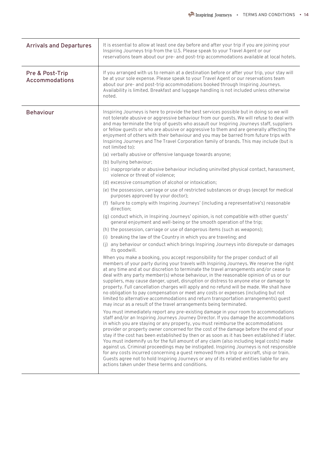| <b>Arrivals and Departures</b>    | It is essential to allow at least one day before and after your trip if you are joining your<br>Inspiring Journeys trip from the U.S. Please speak to your Travel Agent or our<br>reservations team about our pre- and post-trip accommodations available at local hotels.                                                                                                                                                                                                                                                                                                                                                                                                                                                                                                                                                                                                                                                                                                                                                                                                                                                                                                                                                                                                                                                                                                                                                                                                                                                                                                                                                                                                                                                                                                                                                                                                                                                                                                                                                                                                                                                                                                                                                                                                                                                                                                                                                                                                                                                                                                                                                                                                                                                                                                                                                                                                                                                                                                                                                                                                                                             |
|-----------------------------------|------------------------------------------------------------------------------------------------------------------------------------------------------------------------------------------------------------------------------------------------------------------------------------------------------------------------------------------------------------------------------------------------------------------------------------------------------------------------------------------------------------------------------------------------------------------------------------------------------------------------------------------------------------------------------------------------------------------------------------------------------------------------------------------------------------------------------------------------------------------------------------------------------------------------------------------------------------------------------------------------------------------------------------------------------------------------------------------------------------------------------------------------------------------------------------------------------------------------------------------------------------------------------------------------------------------------------------------------------------------------------------------------------------------------------------------------------------------------------------------------------------------------------------------------------------------------------------------------------------------------------------------------------------------------------------------------------------------------------------------------------------------------------------------------------------------------------------------------------------------------------------------------------------------------------------------------------------------------------------------------------------------------------------------------------------------------------------------------------------------------------------------------------------------------------------------------------------------------------------------------------------------------------------------------------------------------------------------------------------------------------------------------------------------------------------------------------------------------------------------------------------------------------------------------------------------------------------------------------------------------------------------------------------------------------------------------------------------------------------------------------------------------------------------------------------------------------------------------------------------------------------------------------------------------------------------------------------------------------------------------------------------------------------------------------------------------------------------------------------------------|
| Pre & Post-Trip<br>Accommodations | If you arranged with us to remain at a destination before or after your trip, your stay will<br>be at your sole expense. Please speak to your Travel Agent or our reservations team<br>about our pre- and post-trip accommodations booked through Inspiring Journeys.<br>Availability is limited. Breakfast and luggage handling is not included unless otherwise<br>noted.                                                                                                                                                                                                                                                                                                                                                                                                                                                                                                                                                                                                                                                                                                                                                                                                                                                                                                                                                                                                                                                                                                                                                                                                                                                                                                                                                                                                                                                                                                                                                                                                                                                                                                                                                                                                                                                                                                                                                                                                                                                                                                                                                                                                                                                                                                                                                                                                                                                                                                                                                                                                                                                                                                                                            |
| <b>Behaviour</b>                  | Inspiring Journeys is here to provide the best services possible but in doing so we will<br>not tolerate abusive or aggressive behaviour from our guests. We will refuse to deal with<br>and may terminate the trip of quests who assault our Inspiring Journeys staff, suppliers<br>or fellow guests or who are abusive or aggressive to them and are generally affecting the<br>enjoyment of others with their behaviour and you may be barred from future trips with<br>Inspiring Journeys and The Travel Corporation family of brands. This may include (but is<br>not limited to):<br>(a) verbally abusive or offensive language towards anyone;<br>(b) bullying behaviour;<br>(c) inappropriate or abusive behaviour including uninvited physical contact, harassment,<br>violence or threat of violence;<br>(d) excessive consumption of alcohol or intoxication;<br>(e) the possession, carriage or use of restricted substances or drugs (except for medical<br>purposes approved by your doctor);<br>(f) failure to comply with Inspiring Journeys' (including a representative's) reasonable<br>direction;<br>(g) conduct which, in Inspiring Journeys' opinion, is not compatible with other guests'<br>general enjoyment and well-being or the smooth operation of the trip;<br>(h) the possession, carriage or use of dangerous items (such as weapons);<br>(i) breaking the law of the Country in which you are traveling; and<br>(j) any behaviour or conduct which brings Inspiring Journeys into disrepute or damages<br>its goodwill.<br>When you make a booking, you accept responsibility for the proper conduct of all<br>members of your party during your travels with Inspiring Journeys. We reserve the right<br>at any time and at our discretion to terminate the travel arrangements and/or cease to<br>deal with any party member(s) whose behaviour, in the reasonable opinion of us or our<br>suppliers, may cause danger, upset, disruption or distress to anyone else or damage to<br>property. Full cancellation charges will apply and no refund will be made. We shall have<br>no obligation to pay compensation or meet any costs or expenses (including but not<br>limited to alternative accommodations and return transportation arrangements) guest<br>may incur as a result of the travel arrangements being terminated.<br>You must immediately report any pre-existing damage in your room to accommodations<br>staff and/or an Inspiring Journeys Journey Director. If you damage the accommodations<br>in which you are staying or any property, you must reimburse the accommodations<br>provider or property owner concerned for the cost of the damage before the end of your<br>stay if the cost has been established by then or as soon as it has been established if later.<br>You must indemnify us for the full amount of any claim (also including legal costs) made<br>against us. Criminal proceedings may be instigated. Inspiring Journeys is not responsible<br>for any costs incurred concerning a quest removed from a trip or aircraft, ship or train. |
|                                   | Guests agree not to hold Inspiring Journeys or any of its related entities liable for any<br>actions taken under these terms and conditions.                                                                                                                                                                                                                                                                                                                                                                                                                                                                                                                                                                                                                                                                                                                                                                                                                                                                                                                                                                                                                                                                                                                                                                                                                                                                                                                                                                                                                                                                                                                                                                                                                                                                                                                                                                                                                                                                                                                                                                                                                                                                                                                                                                                                                                                                                                                                                                                                                                                                                                                                                                                                                                                                                                                                                                                                                                                                                                                                                                           |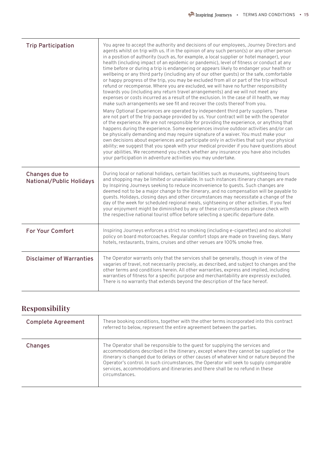| <b>Trip Participation</b>                         | You agree to accept the authority and decisions of our employees, Journey Directors and<br>agents whilst on trip with us. If in the opinion of any such person(s) or any other person<br>in a position of authority (such as, for example, a local supplier or hotel manager), your<br>health (including impact of an epidemic or pandemic), level of fitness or conduct at any<br>time before or during a trip is endangering or appears likely to endanger your health or<br>wellbeing or any third party (including any of our other quests) or the safe, comfortable<br>or happy progress of the trip, you may be excluded from all or part of the trip without<br>refund or recompense. Where you are excluded, we will have no further responsibility<br>towards you (including any return travel arrangements) and we will not meet any<br>expenses or costs incurred as a result of the exclusion. In the case of ill health, we may<br>make such arrangements we see fit and recover the costs thereof from you.<br>Many Optional Experiences are operated by independent third party suppliers. These<br>are not part of the trip package provided by us. Your contract will be with the operator<br>of the experience. We are not responsible for providing the experience, or anything that<br>happens during the experience. Some experiences involve outdoor activities and/or can<br>be physically demanding and may require signature of a waiver. You must make your<br>own decisions about experiences and participate only in activities that suit your physical<br>ability; we suggest that you speak with your medical provider if you have questions about<br>your abilities. We recommend you check whether any insurance you have also includes<br>your participation in adventure activities you may undertake. |
|---------------------------------------------------|------------------------------------------------------------------------------------------------------------------------------------------------------------------------------------------------------------------------------------------------------------------------------------------------------------------------------------------------------------------------------------------------------------------------------------------------------------------------------------------------------------------------------------------------------------------------------------------------------------------------------------------------------------------------------------------------------------------------------------------------------------------------------------------------------------------------------------------------------------------------------------------------------------------------------------------------------------------------------------------------------------------------------------------------------------------------------------------------------------------------------------------------------------------------------------------------------------------------------------------------------------------------------------------------------------------------------------------------------------------------------------------------------------------------------------------------------------------------------------------------------------------------------------------------------------------------------------------------------------------------------------------------------------------------------------------------------------------------------------------------------------------------------------------------------------------------------------------|
| Changes due to<br><b>National/Public Holidays</b> | During local or national holidays, certain facilities such as museums, sightseeing tours<br>and shopping may be limited or unavailable. In such instances itinerary changes are made<br>by Inspiring Journeys seeking to reduce inconvenience to guests. Such changes are<br>deemed not to be a major change to the itinerary, and no compensation will be payable to<br>quests. Holidays, closing days and other circumstances may necessitate a change of the<br>day of the week for scheduled regional meals, sightseeing or other activities. If you feel<br>your enjoyment might be diminished by any of these circumstances please check with<br>the respective national tourist office before selecting a specific departure date.                                                                                                                                                                                                                                                                                                                                                                                                                                                                                                                                                                                                                                                                                                                                                                                                                                                                                                                                                                                                                                                                                                |
| <b>For Your Comfort</b>                           | Inspiring Journeys enforces a strict no smoking (including e-cigarettes) and no alcohol<br>policy on board motorcoaches. Regular comfort stops are made on traveling days. Many<br>hotels, restaurants, trains, cruises and other venues are 100% smoke free.                                                                                                                                                                                                                                                                                                                                                                                                                                                                                                                                                                                                                                                                                                                                                                                                                                                                                                                                                                                                                                                                                                                                                                                                                                                                                                                                                                                                                                                                                                                                                                            |
| <b>Disclaimer of Warranties</b>                   | The Operator warrants only that the services shall be generally, though in view of the<br>vagaries of travel, not necessarily precisely, as described, and subject to changes and the<br>other terms and conditions herein. All other warranties, express and implied, including<br>warranties of fitness for a specific purpose and merchantability are expressly excluded.<br>There is no warranty that extends beyond the description of the face hereof.                                                                                                                                                                                                                                                                                                                                                                                                                                                                                                                                                                                                                                                                                                                                                                                                                                                                                                                                                                                                                                                                                                                                                                                                                                                                                                                                                                             |

# **Responsibility**

| <b>Complete Agreement</b> | These booking conditions, together with the other terms incorporated into this contract<br>referred to below, represent the entire agreement between the parties.                                                                                                                                                                                                                                                                                                 |
|---------------------------|-------------------------------------------------------------------------------------------------------------------------------------------------------------------------------------------------------------------------------------------------------------------------------------------------------------------------------------------------------------------------------------------------------------------------------------------------------------------|
| <b>Changes</b>            | The Operator shall be responsible to the quest for supplying the services and<br>accommodations described in the itinerary, except where they cannot be supplied or the<br>itinerary is changed due to delays or other causes of whatever kind or nature beyond the<br>Operator's control. In such circumstances, the Operator will seek to supply comparable<br>services, accommodations and itineraries and there shall be no refund in these<br>circumstances. |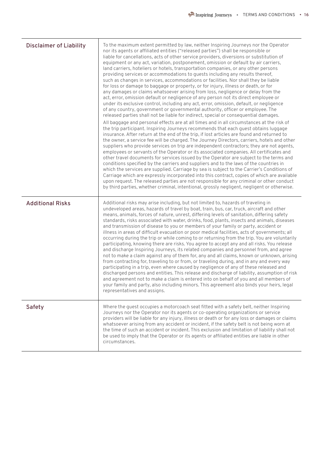| <b>Disclaimer of Liability</b> | To the maximum extent permitted by law, neither Inspiring Journeys nor the Operator<br>nor its agents or affiliated entities ("released parties") shall be responsible or<br>liable for cancellations, acts of other service providers, diversions or substitution of<br>equipment or any act, variation, postponement, omission or default by air carriers,<br>land carriers, hoteliers or hotels, transportation companies, or any other persons<br>providing services or accommodations to guests including any results thereof,<br>such as changes in services, accommodations or facilities. Nor shall they be liable<br>for loss or damage to baggage or property, or for injury, illness or death, or for<br>any damages or claims whatsoever arising from loss, negligence or delay from the<br>act, error, omission default or negligence of any person not its direct employee or<br>under its exclusive control, including any act, error, omission, default, or negligence<br>of any country, government or governmental authority, officer or employee. The<br>released parties shall not be liable for indirect, special or consequential damages.<br>All baggage and personal effects are at all times and in all circumstances at the risk of<br>the trip participant. Inspiring Journeys recommends that each guest obtains luggage<br>insurance. After return at the end of the trip, if lost articles are found and returned to<br>the owner, a service fee will be charged. The Journey Directors, carriers, hotels and other<br>suppliers who provide services on trip are independent contractors; they are not agents,<br>employees or servants of the Operator or its associated companies. All certificates and<br>other travel documents for services issued by the Operator are subject to the terms and<br>conditions specified by the carriers and suppliers and to the laws of the countries in<br>which the services are supplied. Carriage by sea is subject to the Carrier's Conditions of<br>Carriage which are expressly incorporated into this contract, copies of which are available<br>upon request. The released parties are not responsible for any criminal or other conduct<br>by third parties, whether criminal, intentional, grossly negligent, negligent or otherwise. |
|--------------------------------|-----------------------------------------------------------------------------------------------------------------------------------------------------------------------------------------------------------------------------------------------------------------------------------------------------------------------------------------------------------------------------------------------------------------------------------------------------------------------------------------------------------------------------------------------------------------------------------------------------------------------------------------------------------------------------------------------------------------------------------------------------------------------------------------------------------------------------------------------------------------------------------------------------------------------------------------------------------------------------------------------------------------------------------------------------------------------------------------------------------------------------------------------------------------------------------------------------------------------------------------------------------------------------------------------------------------------------------------------------------------------------------------------------------------------------------------------------------------------------------------------------------------------------------------------------------------------------------------------------------------------------------------------------------------------------------------------------------------------------------------------------------------------------------------------------------------------------------------------------------------------------------------------------------------------------------------------------------------------------------------------------------------------------------------------------------------------------------------------------------------------------------------------------------------------------------------------------------------------------------------------------------------------------------------------------------------------|
| <b>Additional Risks</b>        | Additional risks may arise including, but not limited to, hazards of traveling in<br>undeveloped areas, hazards of travel by boat, train, bus, car, truck, aircraft and other<br>means, animals, forces of nature, unrest, differing levels of sanitation, differing safety<br>standards, risks associated with water, drinks, food, plants, insects and animals, diseases<br>and transmission of disease to you or members of your family or party, accident or<br>illness in areas of difficult evacuation or poor medical facilities, acts of governments; all<br>occurring during the trip or while coming to or returning from the trip. You are voluntarily<br>participating, knowing there are risks. You agree to accept any and all risks. You release<br>and discharge Inspiring Journeys, its related companies and personnel from, and agree<br>not to make a claim against any of them for, any and all claims, known or unknown, arising<br>from contracting for, traveling to or from, or traveling during, and in any and every way<br>participating in a trip, even where caused by negligence of any of these released and<br>discharged persons and entities. This release and discharge of liability, assumption of risk<br>and agreement not to make a claim is entered into on behalf of you and all members of<br>your family and party, also including minors. This agreement also binds your heirs, legal<br>representatives and assigns.                                                                                                                                                                                                                                                                                                                                                                                                                                                                                                                                                                                                                                                                                                                                                                                                                                                    |
| <b>Safety</b>                  | Where the guest occupies a motorcoach seat fitted with a safety belt, neither Inspiring<br>Journeys nor the Operator nor its agents or co-operating organizations or service<br>providers will be liable for any injury, illness or death or for any loss or damages or claims<br>whatsoever arising from any accident or incident, if the safety belt is not being worn at<br>the time of such an accident or incident. This exclusion and limitation of liability shall not<br>be used to imply that the Operator or its agents or affiliated entities are liable in other<br>circumstances.                                                                                                                                                                                                                                                                                                                                                                                                                                                                                                                                                                                                                                                                                                                                                                                                                                                                                                                                                                                                                                                                                                                                                                                                                                                                                                                                                                                                                                                                                                                                                                                                                                                                                                                        |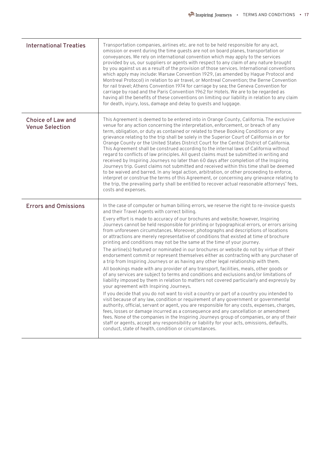| <b>International Treaties</b>                      | Transportation companies, airlines etc. are not to be held responsible for any act,<br>omission or event during the time guests are not on board planes, transportation or<br>conveyances. We rely on international convention which may apply to the services<br>provided by us, our suppliers or agents with respect to any claim of any nature brought<br>by you against us as a result of the provision of those services. International conventions<br>which apply may include: Warsaw Convention 1929, (as amended by Hague Protocol and<br>Montreal Protocol) in relation to air travel, or Montreal Convention; the Berne Convention<br>for rail travel; Athens Convention 1974 for carriage by sea; the Geneva Convention for<br>carriage by road and the Paris Convention 1962 for Hotels. We are to be regarded as<br>having all the benefits of these conventions on limiting our liability in relation to any claim<br>for death, injury, loss, damage and delay to guests and luggage.                                                                                                                                                                                                                                                                                                                                                                                                                                                                                                                                                                                                                                                                                                                                                                                                                                         |
|----------------------------------------------------|----------------------------------------------------------------------------------------------------------------------------------------------------------------------------------------------------------------------------------------------------------------------------------------------------------------------------------------------------------------------------------------------------------------------------------------------------------------------------------------------------------------------------------------------------------------------------------------------------------------------------------------------------------------------------------------------------------------------------------------------------------------------------------------------------------------------------------------------------------------------------------------------------------------------------------------------------------------------------------------------------------------------------------------------------------------------------------------------------------------------------------------------------------------------------------------------------------------------------------------------------------------------------------------------------------------------------------------------------------------------------------------------------------------------------------------------------------------------------------------------------------------------------------------------------------------------------------------------------------------------------------------------------------------------------------------------------------------------------------------------------------------------------------------------------------------------------------------------|
| <b>Choice of Law and</b><br><b>Venue Selection</b> | This Agreement is deemed to be entered into in Orange County, California. The exclusive<br>venue for any action concerning the interpretation, enforcement, or breach of any<br>term, obligation, or duty as contained or related to these Booking Conditions or any<br>grievance relating to the trip shall be solely in the Superior Court of California in or for<br>Orange County or the United States District Court for the Central District of California.<br>This Agreement shall be construed according to the internal laws of California without<br>regard to conflicts of law principles. All guest claims must be submitted in writing and<br>received by Inspiring Journeys no later than 60 days after completion of the Inspiring<br>Journeys trip. Guest claims not submitted and received within this time shall be deemed<br>to be waived and barred. In any legal action, arbitration, or other proceeding to enforce,<br>interpret or construe the terms of this Agreement, or concerning any grievance relating to<br>the trip, the prevailing party shall be entitled to recover actual reasonable attorneys' fees,<br>costs and expenses.                                                                                                                                                                                                                                                                                                                                                                                                                                                                                                                                                                                                                                                                            |
| <b>Errors and Omissions</b>                        | In the case of computer or human billing errors, we reserve the right to re-invoice guests<br>and their Travel Agents with correct billing.<br>Every effort is made to accuracy of our brochures and website; however, Inspiring<br>Journeys cannot be held responsible for printing or typographical errors, or errors arising<br>from unforeseen circumstances. Moreover, photographs and descriptions of locations<br>or attractions are merely representative of conditions that existed at time of brochure<br>printing and conditions may not be the same at the time of your journey.<br>The airline(s) featured or nominated in our brochures or website do not by virtue of their<br>endorsement commit or represent themselves either as contracting with any purchaser of<br>a trip from Inspiring Journeys or as having any other legal relationship with them.<br>All bookings made with any provider of any transport, facilities, meals, other goods or<br>of any services are subject to terms and conditions and exclusions and/or limitations of<br>liability imposed by them in relation to matters not covered particularly and expressly by<br>your agreement with Inspiring Journeys.<br>If you decide that you do not want to visit a country or part of a country you intended to<br>visit because of any law, condition or requirement of any government or governmental<br>authority, official, servant or agent, you are responsible for any costs, expenses, charges,<br>fees, losses or damage incurred as a consequence and any cancellation or amendment<br>fees. None of the companies in the Inspiring Journeys group of companies, or any of their<br>staff or agents, accept any responsibility or liability for your acts, omissions, defaults,<br>conduct, state of health, condition or circumstances. |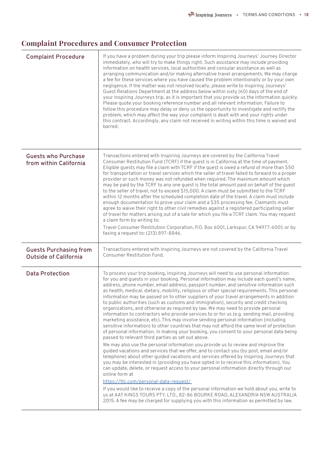## **Complaint Procedures and Consumer Protection**

| <b>Complaint Procedure</b>                                    | If you have a problem during your trip please inform Inspiring Journeys' Journey Director<br>immediately, who will try to make things right. Such assistance may include providing<br>information on health services, local authorities and consular assistance as well as<br>arranging communication and/or making alternative travel arrangements. We may charge<br>a fee for these services where you have caused the problem intentionally or by your own<br>negligence. If the matter was not resolved locally, please write to Inspiring Journeys'<br>Guest Relations Department at the address below within sixty (60) days of the end of<br>your Inspiring Journeys trip, as it is important that you provide us the information quickly.<br>Please quote your booking reference number and all relevant information. Failure to<br>follow this procedure may delay or deny us the opportunity to investigate and rectify the<br>problem, which may affect the way your complaint is dealt with and your rights under<br>this contract. Accordingly, any claim not received in writing within this time is waived and<br>barred.                                                                                                                                                                                                                                                                                                                                                                                                                                                                                                                                                                                                                                                                                                                                                        |
|---------------------------------------------------------------|-------------------------------------------------------------------------------------------------------------------------------------------------------------------------------------------------------------------------------------------------------------------------------------------------------------------------------------------------------------------------------------------------------------------------------------------------------------------------------------------------------------------------------------------------------------------------------------------------------------------------------------------------------------------------------------------------------------------------------------------------------------------------------------------------------------------------------------------------------------------------------------------------------------------------------------------------------------------------------------------------------------------------------------------------------------------------------------------------------------------------------------------------------------------------------------------------------------------------------------------------------------------------------------------------------------------------------------------------------------------------------------------------------------------------------------------------------------------------------------------------------------------------------------------------------------------------------------------------------------------------------------------------------------------------------------------------------------------------------------------------------------------------------------------------------------------------------------------------------------------------------------------------|
| <b>Guests who Purchase</b><br>from within California          | Transactions entered with Inspiring Journeys are covered by the California Travel<br>Consumer Restitution Fund (TCRF) if the guest is in California at the time of payment.<br>Eligible guests may file a claim with TCRF if the guest is owed a refund of more than \$50<br>for transportation or travel services which the seller of travel failed to forward to a proper<br>provider or such money was not refunded when required. The maximum amount which<br>may be paid by the TCRF to any one guest is the total amount paid on behalf of the guest<br>to the seller of travel, not to exceed \$15,000. A claim must be submitted to the TCRF<br>within 12 months after the scheduled completion date of the travel. A claim must include<br>enough documentation to prove your claim and a \$35 processing fee. Claimants must<br>agree to waive their right to other civil remedies against a registered participating seller<br>of travel for matters arising out of a sale for which you file a TCRF claim. You may request<br>a claim form by writing to:<br>Travel Consumer Restitution Corporation, P.O. Box 6001, Larkspur, CA 94977-6001; or by<br>faxing a request to: (213) 897-8846.                                                                                                                                                                                                                                                                                                                                                                                                                                                                                                                                                                                                                                                                                         |
| <b>Guests Purchasing from</b><br><b>Outside of California</b> | Transactions entered with Inspiring Journeys are not covered by the California Travel<br>Consumer Restitution Fund.                                                                                                                                                                                                                                                                                                                                                                                                                                                                                                                                                                                                                                                                                                                                                                                                                                                                                                                                                                                                                                                                                                                                                                                                                                                                                                                                                                                                                                                                                                                                                                                                                                                                                                                                                                             |
| <b>Data Protection</b>                                        | To process your trip booking, Inspiring Journeys will need to use personal information<br>for you and guests in your booking. Personal information may include each guest's name,<br>address, phone number, email address, passport number, and sensitive information such<br>as health, medical, dietary, mobility, religious or other special requirements. This personal<br>information may be passed on to other suppliers of your travel arrangements in addition<br>to public authorities (such as customs and immigration), security and credit checking<br>organizations, and otherwise as required by law. We may need to provide personal<br>information to contractors who provide services to or for us (e.g. sending mail, providing<br>marketing assistance, etc). This may involve sending personal information (including<br>sensitive information) to other countries that may not afford the same level of protection<br>of personal information. In making your booking, you consent to your personal data being<br>passed to relevant third parties as set out above.<br>We may also use the personal information you provide us to review and improve the<br>quided vacations and services that we offer, and to contact you (by post, email and/or<br>telephone) about other guided vacations and services offered by Inspiring Journeys that<br>you may be interested in (providing you have opted in to receive this information). You<br>can update, delete, or request access to your personal information directly through our<br>online form at<br>https://ttc.com/personal-data-request/<br>If you would like to receive a copy of the personal information we hold about you, write to<br>us at AAT KINGS TOURS PTY. LTD., 82-86 BOURKE ROAD, ALEXANDRIA NSW AUSTRALIA<br>2015. A fee may be charged for supplying you with this information as permitted by law. |